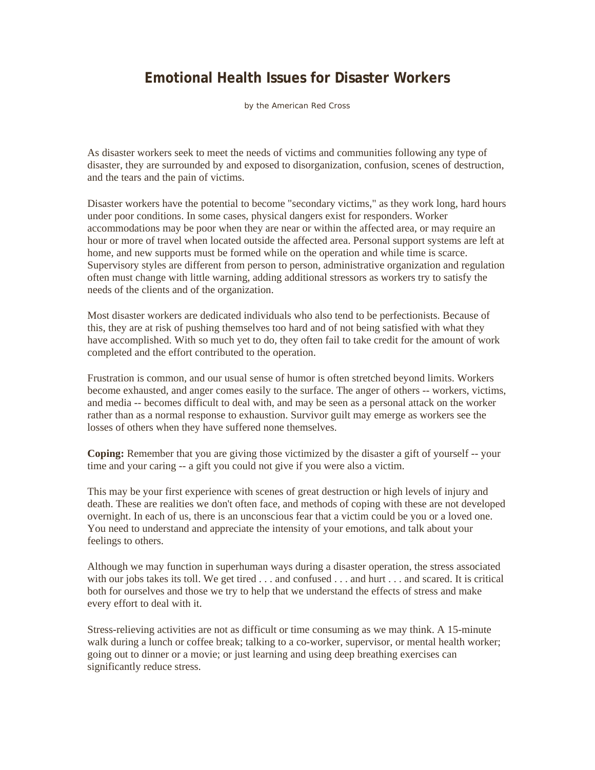## **Emotional Health Issues for Disaster Workers**

by the American Red Cross

As disaster workers seek to meet the needs of victims and communities following any type of disaster, they are surrounded by and exposed to disorganization, confusion, scenes of destruction, and the tears and the pain of victims.

Disaster workers have the potential to become "secondary victims," as they work long, hard hours under poor conditions. In some cases, physical dangers exist for responders. Worker accommodations may be poor when they are near or within the affected area, or may require an hour or more of travel when located outside the affected area. Personal support systems are left at home, and new supports must be formed while on the operation and while time is scarce. Supervisory styles are different from person to person, administrative organization and regulation often must change with little warning, adding additional stressors as workers try to satisfy the needs of the clients and of the organization.

Most disaster workers are dedicated individuals who also tend to be perfectionists. Because of this, they are at risk of pushing themselves too hard and of not being satisfied with what they have accomplished. With so much yet to do, they often fail to take credit for the amount of work completed and the effort contributed to the operation.

Frustration is common, and our usual sense of humor is often stretched beyond limits. Workers become exhausted, and anger comes easily to the surface. The anger of others -- workers, victims, and media -- becomes difficult to deal with, and may be seen as a personal attack on the worker rather than as a normal response to exhaustion. Survivor guilt may emerge as workers see the losses of others when they have suffered none themselves.

**Coping:** Remember that you are giving those victimized by the disaster a gift of yourself -- your time and your caring -- a gift you could not give if you were also a victim.

This may be your first experience with scenes of great destruction or high levels of injury and death. These are realities we don't often face, and methods of coping with these are not developed overnight. In each of us, there is an unconscious fear that a victim could be you or a loved one. You need to understand and appreciate the intensity of your emotions, and talk about your feelings to others.

Although we may function in superhuman ways during a disaster operation, the stress associated with our jobs takes its toll. We get tired . . . and confused . . . and hurt . . . and scared. It is critical both for ourselves and those we try to help that we understand the effects of stress and make every effort to deal with it.

Stress-relieving activities are not as difficult or time consuming as we may think. A 15-minute walk during a lunch or coffee break; talking to a co-worker, supervisor, or mental health worker; going out to dinner or a movie; or just learning and using deep breathing exercises can significantly reduce stress.